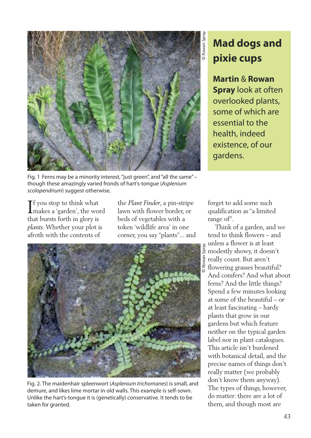

Fig. 1 Ferns may be a minority interest, "just green", and "all the same" though these amazingly varied fronds of hart's-tongue (*Asplenium scolopendrium*) suggest otherwise.

If you stop to think what<br>makes a 'garden', the wo makes a 'garden', the word that bursts forth in glory is *plants*.Whether your plot is afroth with the contents of

the *Plant Finder*, a pin-stripe lawn with flower border, or beds of vegetables with a token 'wildlife area' in one corner, you say "plants"... and



Fig. 2. The maidenhair spleenwort (*Asplenium trichomanes*) is small, and demure, and likes lime mortar in old walls. This example is self-sown. Unlike the hart's-tongue it is (genetically) conservative. It tends to be taken for granted.

## **Mad dogs and pixie cups**

**Martin** & **Rowan Spray** look at often overlooked plants, some of which are essential to the health, indeed existence, of our gardens.

forget to add some such qualification as "a limited range of".

Think of a garden, and we tend to think flowers – and unless a flower is at least modestly showy, it doesn't really count. But aren't flowering grasses beautiful? And conifers? And what about ferns? And the little things? Spend a few minutes looking at some of the beautiful – or at least fascinating – hardy plants that grow in our gardens but which feature neither on the typical garden label nor in plant catalogues. This article isn't burdened with botanical detail, and the precise names of things don't really matter (we probably don't know them anyway). The types of things, however, do matter: there are a lot of them, and though most are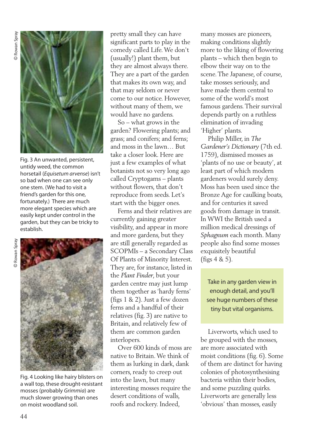

Fig. 3 An unwanted, persistent, untidy weed, the common horsetail (*Equisetum arvense*) isn't so bad when one can see only one stem. (We had to visit a friend's garden for this one, fortunately.) There are much more elegant species which are easily kept under control in the garden, but they can be tricky to establish.



Fig. 4 Looking like hairy blisters on a wall top, these drought-resistant mosses (probably *Grimmia*) are much slower growing than ones on moist woodland soil.

pretty small they can have significant parts to play in the comedy called Life.We don't (usually!) plant them, but they are almost always there. They are a part of the garden that makes its own way, and that may seldom or never come to our notice. However, without many of them, we would have no gardens.

So – what grows in the garden? Flowering plants; and grass; and conifers; and ferns; and moss in the lawn… But take a closer look. Here are just a few examples of what botanists not so very long ago called Cryptogams – plants without flowers, that don't reproduce from seeds. Let's start with the bigger ones.

Ferns and their relatives are currently gaining greater visibility, and appear in more and more gardens, but they are still generally regarded as SCOPMIs – a Secondary Class Of Plants of Minority Interest. They are, for instance, listed in the *Plant Finder*, but your garden centre may just lump them together as 'hardy ferns' (figs 1 & 2). Just a few dozen ferns and a handful of their relatives (fig. 3) are native to Britain, and relatively few of them are common garden interlopers.

Over 600 kinds of moss are native to Britain.We think of them as lurking in dark, dank corners, ready to creep out into the lawn, but many interesting mosses require the desert conditions of walls, roofs and rockery. Indeed,

many mosses are pioneers, making conditions slightly more to the liking of flowering plants – which then begin to elbow their way on to the scene.The Japanese, of course, take mosses seriously, and have made them central to some of the world's most famous gardens.Their survival depends partly on a ruthless elimination of invading 'Higher' plants.

Philip Miller, in *The Gardener's Dictionary* (7th ed. 1759), dismissed mosses as 'plants of no use or beauty', at least part of which modern gardeners would surely deny. Moss has been used since the Bronze Age for caulking boats, and for centuries it saved goods from damage in transit. In WWI the British used a million medical dressings of *Sphagnum* each month. Many people also find some mosses exquisitely beautiful (figs 4 & 5).

Take in any garden view in enough detail, and you'll see huge numbers of these tiny but vital organisms.

Liverworts, which used to be grouped with the mosses, are more associated with moist conditions (fig. 6). Some of them are distinct for having colonies of photosynthesising bacteria within their bodies, and some puzzling quirks. Liverworts are generally less 'obvious' than mosses, easily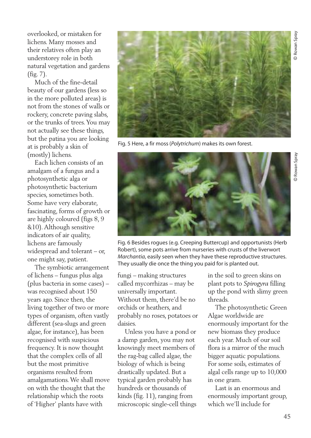Rowan Spray

Rowan Spray

overlooked, or mistaken for lichens. Many mosses and their relatives often play an understorey role in both natural vegetation and gardens (fig. 7).

Much of the fine-detail beauty of our gardens (less so in the more polluted areas) is not from the stones of walls or rockery, concrete paving slabs, or the trunks of trees.You may not actually see these things, but the patina you are looking at is probably a skin of (mostly) lichens.

Each lichen consists of an amalgam of a fungus and a photosynthetic alga or photosynthetic bacterium species, sometimes both. Some have very elaborate, fascinating, forms of growth or are highly coloured (figs 8, 9 &10).Although sensitive indicators of air quality, lichens are famously widespread and tolerant – or, one might say, patient.

The symbiotic arrangement of lichens – fungus plus alga (plus bacteria in some cases) – was recognised about 150 years ago. Since then, the living together of two or more types of organism, often vastly different (sea-slugs and green algae, for instance), has been recognised with suspicious frequency. It is now thought that the complex cells of all but the most primitive organisms resulted from amalgamations.We shall move on with the thought that the relationship which the roots of 'Higher' plants have with



Fig. 5 Here, a fir moss(*Polytrichum*) makes its own forest.



Fig. 6 Besides rogues (e.g. Creeping Buttercup) and opportunists (Herb Robert), some pots arrive from nurseries with crusts of the liverwort *Marchantia*, easily seen when they have these reproductive structures. They usually die once the thing you paid for is planted out.

fungi – making structures called mycorrhizas – may be universally important. Without them, there'd be no orchids or heathers, and probably no roses, potatoes or daisies.

Unless you have a pond or a damp garden, you may not knowingly meet members of the rag-bag called algae, the biology of which is being drastically updated. But a typical garden probably has hundreds or thousands of kinds (fig. 11), ranging from microscopic single-cell things in the soil to green skins on plant pots to *Spirogyra* filling up the pond with slimy green threads.

The photosynthetic Green Algae worldwide are enormously important for the new biomass they produce each year. Much of our soil flora is a mirror of the much bigger aquatic populations. For some soils, estimates of algal cells range up to 10,000 in one gram.

Last is an enormous and enormously important group, which we'll include for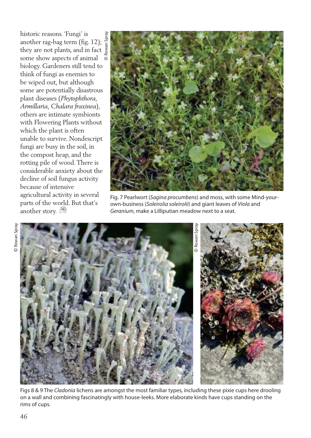historic reasons. 'Fungi' is another rag-bag term (fig. 12); they are not plants, and in fact some show aspects of animal ©biology. Gardeners still tend to think of fungi as enemies to be wiped out, but although some are potentially disastrous plant diseases (*Phytophthora, Armillaria, Chalara fraxinea*), others are intimate symbionts with Flowering Plants without which the plant is often unable to survive. Nondescript fungi are busy in the soil, in the compost heap, and the rotting pile of wood.There is considerable anxiety about the decline of soil fungus activity because of intensive agricultural activity in several parts of the world. But that's another story.



Fig. 7 Pearlwort (*Sagina procumbens*) and moss, with some Mind-yourown-business (*Soleirolia soleirolii*) and giant leaves of *Viola* and *Geranium*, make a Lilliputian meadow next to a seat.



Figs 8 & 9 The *Cladonia* lichens are amongst the most familiar types, including these pixie cups here drooling on a wall and combining fascinatingly with house-leeks. More elaborate kinds have cups standing on the rims of cups.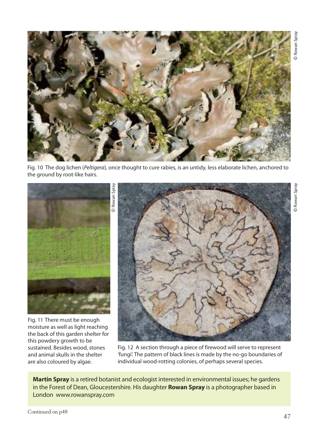© Rowan Spray



Fig. 10 The dog lichen (*Peltigera*), once thought to cure rabies, is an untidy, less elaborate lichen, anchored to the ground by root-like hairs.



Fig. 11 There must be enough moisture as well as light reaching the back of this garden shelter for this powdery growth to be sustained. Besides wood, stones and animal skulls in the shelter are also coloured by algae.



Fig. 12 A section through a piece of firewood will serve to represent 'fungi'. The pattern of black lines is made by the no-go boundaries of individual wood-rotting colonies, of perhaps several species.

**Martin Spray** is a retired botanist and ecologist interested in environmental issues; he gardens in the Forest of Dean, Gloucestershire. His daughter **Rowan Spray** is a photographer based in London www.rowanspray.com